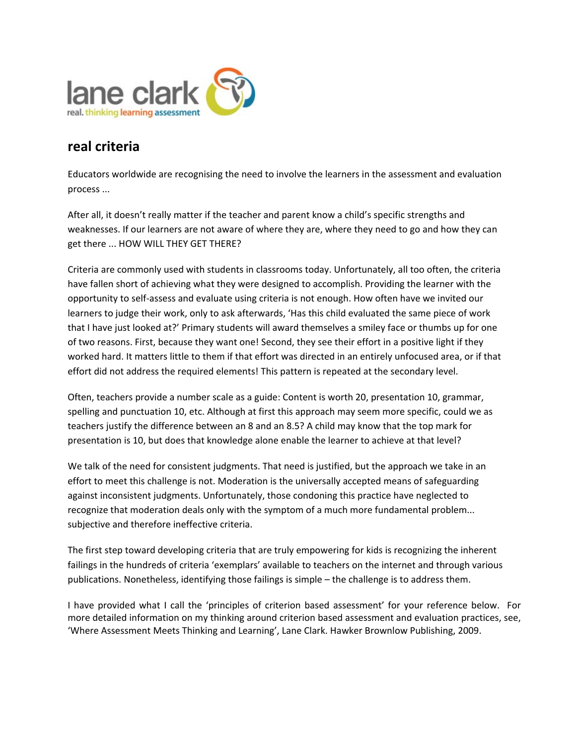

# **real criteria**

Educators worldwide are recognising the need to involve the learners in the assessment and evaluation process ...

After all, it doesn't really matter if the teacher and parent know a child's specific strengths and weaknesses. If our learners are not aware of where they are, where they need to go and how they can get there ... HOW WILL THEY GET THERE?

Criteria are commonly used with students in classrooms today. Unfortunately, all too often, the criteria have fallen short of achieving what they were designed to accomplish. Providing the learner with the opportunity to self‐assess and evaluate using criteria is not enough. How often have we invited our learners to judge their work, only to ask afterwards, 'Has this child evaluated the same piece of work that I have just looked at?' Primary students will award themselves a smiley face or thumbs up for one of two reasons. First, because they want one! Second, they see their effort in a positive light if they worked hard. It matters little to them if that effort was directed in an entirely unfocused area, or if that effort did not address the required elements! This pattern is repeated at the secondary level.

Often, teachers provide a number scale as a guide: Content is worth 20, presentation 10, grammar, spelling and punctuation 10, etc. Although at first this approach may seem more specific, could we as teachers justify the difference between an 8 and an 8.5? A child may know that the top mark for presentation is 10, but does that knowledge alone enable the learner to achieve at that level?

We talk of the need for consistent judgments. That need is justified, but the approach we take in an effort to meet this challenge is not. Moderation is the universally accepted means of safeguarding against inconsistent judgments. Unfortunately, those condoning this practice have neglected to recognize that moderation deals only with the symptom of a much more fundamental problem... subjective and therefore ineffective criteria.

The first step toward developing criteria that are truly empowering for kids is recognizing the inherent failings in the hundreds of criteria 'exemplars' available to teachers on the internet and through various publications. Nonetheless, identifying those failings is simple – the challenge is to address them.

I have provided what I call the 'principles of criterion based assessment' for your reference below. For more detailed information on my thinking around criterion based assessment and evaluation practices, see, 'Where Assessment Meets Thinking and Learning', Lane Clark. Hawker Brownlow Publishing, 2009.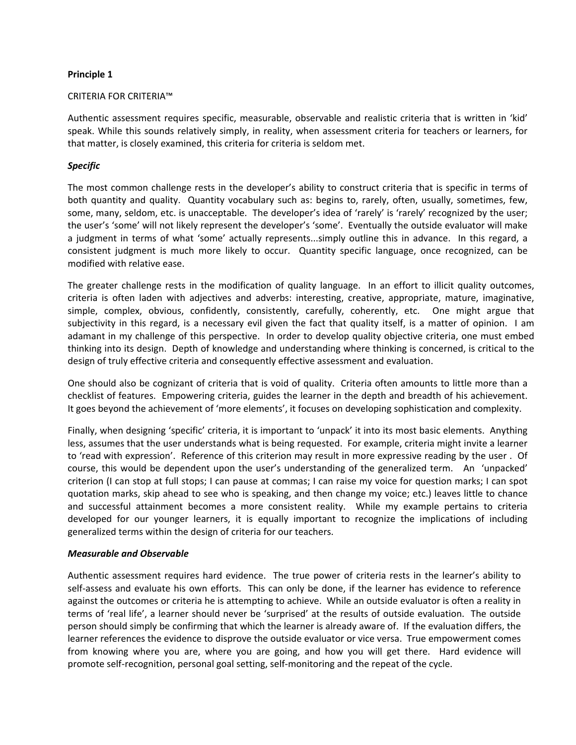## **Principle 1**

#### CRITERIA FOR CRITERIA™

Authentic assessment requires specific, measurable, observable and realistic criteria that is written in 'kid' speak. While this sounds relatively simply, in reality, when assessment criteria for teachers or learners, for that matter, is closely examined, this criteria for criteria is seldom met.

## *Specific*

The most common challenge rests in the developer's ability to construct criteria that is specific in terms of both quantity and quality. Quantity vocabulary such as: begins to, rarely, often, usually, sometimes, few, some, many, seldom, etc. is unacceptable. The developer's idea of 'rarely' is 'rarely' recognized by the user; the user's 'some' will not likely represent the developer's 'some'. Eventually the outside evaluator will make a judgment in terms of what 'some' actually represents...simply outline this in advance. In this regard, a consistent judgment is much more likely to occur. Quantity specific language, once recognized, can be modified with relative ease.

The greater challenge rests in the modification of quality language. In an effort to illicit quality outcomes, criteria is often laden with adjectives and adverbs: interesting, creative, appropriate, mature, imaginative, simple, complex, obvious, confidently, consistently, carefully, coherently, etc. One might argue that subjectivity in this regard, is a necessary evil given the fact that quality itself, is a matter of opinion. I am adamant in my challenge of this perspective. In order to develop quality objective criteria, one must embed thinking into its design. Depth of knowledge and understanding where thinking is concerned, is critical to the design of truly effective criteria and consequently effective assessment and evaluation.

One should also be cognizant of criteria that is void of quality. Criteria often amounts to little more than a checklist of features. Empowering criteria, guides the learner in the depth and breadth of his achievement. It goes beyond the achievement of 'more elements', it focuses on developing sophistication and complexity.

Finally, when designing 'specific' criteria, it is important to 'unpack' it into its most basic elements. Anything less, assumes that the user understands what is being requested. For example, criteria might invite a learner to 'read with expression'. Reference of this criterion may result in more expressive reading by the user . Of course, this would be dependent upon the user's understanding of the generalized term. An 'unpacked' criterion (I can stop at full stops; I can pause at commas; I can raise my voice for question marks; I can spot quotation marks, skip ahead to see who is speaking, and then change my voice; etc.) leaves little to chance and successful attainment becomes a more consistent reality. While my example pertains to criteria developed for our younger learners, it is equally important to recognize the implications of including generalized terms within the design of criteria for our teachers.

## *Measurable and Observable*

Authentic assessment requires hard evidence. The true power of criteria rests in the learner's ability to self-assess and evaluate his own efforts. This can only be done, if the learner has evidence to reference against the outcomes or criteria he is attempting to achieve. While an outside evaluator is often a reality in terms of 'real life', a learner should never be 'surprised' at the results of outside evaluation. The outside person should simply be confirming that which the learner is already aware of. If the evaluation differs, the learner references the evidence to disprove the outside evaluator or vice versa. True empowerment comes from knowing where you are, where you are going, and how you will get there. Hard evidence will promote self‐recognition, personal goal setting, self‐monitoring and the repeat of the cycle.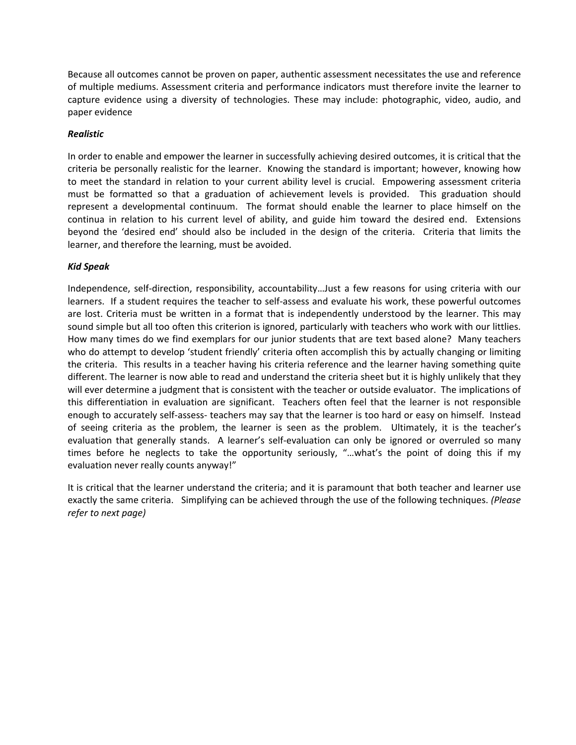Because all outcomes cannot be proven on paper, authentic assessment necessitates the use and reference of multiple mediums. Assessment criteria and performance indicators must therefore invite the learner to capture evidence using a diversity of technologies. These may include: photographic, video, audio, and paper evidence

## *Realistic*

In order to enable and empower the learner in successfully achieving desired outcomes, it is critical that the criteria be personally realistic for the learner. Knowing the standard is important; however, knowing how to meet the standard in relation to your current ability level is crucial. Empowering assessment criteria must be formatted so that a graduation of achievement levels is provided. This graduation should represent a developmental continuum. The format should enable the learner to place himself on the continua in relation to his current level of ability, and guide him toward the desired end. Extensions beyond the 'desired end' should also be included in the design of the criteria. Criteria that limits the learner, and therefore the learning, must be avoided.

## *Kid Speak*

Independence, self‐direction, responsibility, accountability…Just a few reasons for using criteria with our learners. If a student requires the teacher to self-assess and evaluate his work, these powerful outcomes are lost. Criteria must be written in a format that is independently understood by the learner. This may sound simple but all too often this criterion is ignored, particularly with teachers who work with our littlies. How many times do we find exemplars for our junior students that are text based alone? Many teachers who do attempt to develop 'student friendly' criteria often accomplish this by actually changing or limiting the criteria. This results in a teacher having his criteria reference and the learner having something quite different. The learner is now able to read and understand the criteria sheet but it is highly unlikely that they will ever determine a judgment that is consistent with the teacher or outside evaluator. The implications of this differentiation in evaluation are significant. Teachers often feel that the learner is not responsible enough to accurately self‐assess‐ teachers may say that the learner is too hard or easy on himself. Instead of seeing criteria as the problem, the learner is seen as the problem. Ultimately, it is the teacher's evaluation that generally stands. A learner's self-evaluation can only be ignored or overruled so many times before he neglects to take the opportunity seriously, "…what's the point of doing this if my evaluation never really counts anyway!"

It is critical that the learner understand the criteria; and it is paramount that both teacher and learner use exactly the same criteria. Simplifying can be achieved through the use of the following techniques. *(Please refer to next page)*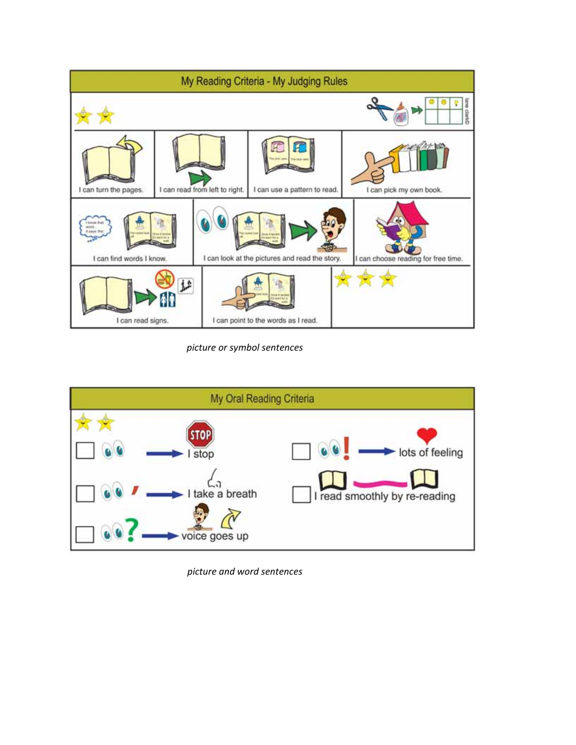

*picture or symbol sentences*



*picture and word sentences*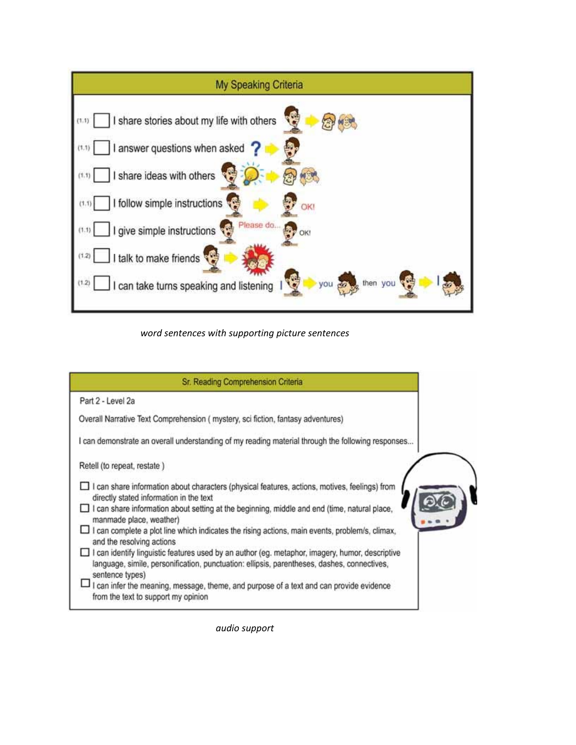

*word sentences with supporting picture sentences*



*audio support*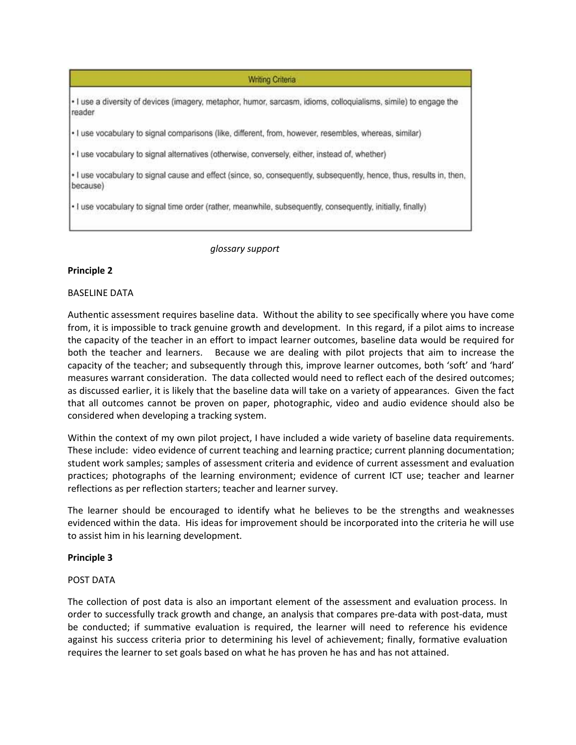**Writing Criteria** 

· I use a diversity of devices (imagery, metaphor, humor, sarcasm, idioms, colloquialisms, simile) to engage the reader

· I use vocabulary to signal comparisons (like, different, from, however, resembles, whereas, similar)

. I use vocabulary to signal alternatives (otherwise, conversely, either, instead of, whether)

. I use vocabulary to signal cause and effect (since, so, consequently, subsequently, hence, thus, results in, then, because)

· I use vocabulary to signal time order (rather, meanwhile, subsequently, consequently, initially, finally)

*glossary support*

#### **Principle 2**

#### BASELINE DATA

Authentic assessment requires baseline data. Without the ability to see specifically where you have come from, it is impossible to track genuine growth and development. In this regard, if a pilot aims to increase the capacity of the teacher in an effort to impact learner outcomes, baseline data would be required for both the teacher and learners. Because we are dealing with pilot projects that aim to increase the capacity of the teacher; and subsequently through this, improve learner outcomes, both 'soft' and 'hard' measures warrant consideration. The data collected would need to reflect each of the desired outcomes; as discussed earlier, it is likely that the baseline data will take on a variety of appearances. Given the fact that all outcomes cannot be proven on paper, photographic, video and audio evidence should also be considered when developing a tracking system.

Within the context of my own pilot project, I have included a wide variety of baseline data requirements. These include: video evidence of current teaching and learning practice; current planning documentation; student work samples; samples of assessment criteria and evidence of current assessment and evaluation practices; photographs of the learning environment; evidence of current ICT use; teacher and learner reflections as per reflection starters; teacher and learner survey.

The learner should be encouraged to identify what he believes to be the strengths and weaknesses evidenced within the data. His ideas for improvement should be incorporated into the criteria he will use to assist him in his learning development.

#### **Principle 3**

#### POST DATA

The collection of post data is also an important element of the assessment and evaluation process. In order to successfully track growth and change, an analysis that compares pre‐data with post‐data, must be conducted; if summative evaluation is required, the learner will need to reference his evidence against his success criteria prior to determining his level of achievement; finally, formative evaluation requires the learner to set goals based on what he has proven he has and has not attained.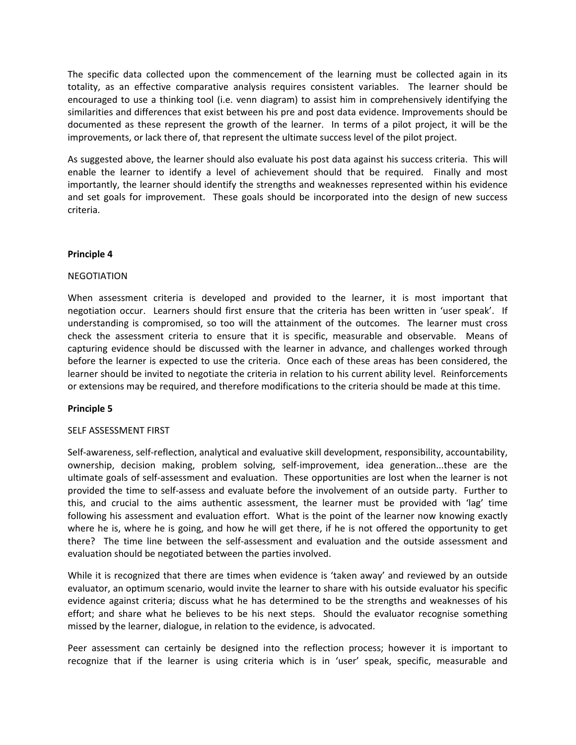The specific data collected upon the commencement of the learning must be collected again in its totality, as an effective comparative analysis requires consistent variables. The learner should be encouraged to use a thinking tool (i.e. venn diagram) to assist him in comprehensively identifying the similarities and differences that exist between his pre and post data evidence. Improvements should be documented as these represent the growth of the learner. In terms of a pilot project, it will be the improvements, or lack there of, that represent the ultimate success level of the pilot project.

As suggested above, the learner should also evaluate his post data against his success criteria. This will enable the learner to identify a level of achievement should that be required. Finally and most importantly, the learner should identify the strengths and weaknesses represented within his evidence and set goals for improvement. These goals should be incorporated into the design of new success criteria.

## **Principle 4**

### NEGOTIATION

When assessment criteria is developed and provided to the learner, it is most important that negotiation occur. Learners should first ensure that the criteria has been written in 'user speak'. If understanding is compromised, so too will the attainment of the outcomes. The learner must cross check the assessment criteria to ensure that it is specific, measurable and observable. Means of capturing evidence should be discussed with the learner in advance, and challenges worked through before the learner is expected to use the criteria. Once each of these areas has been considered, the learner should be invited to negotiate the criteria in relation to his current ability level. Reinforcements or extensions may be required, and therefore modifications to the criteria should be made at this time.

#### **Principle 5**

#### SELF ASSESSMENT FIRST

Self‐awareness, self‐reflection, analytical and evaluative skill development, responsibility, accountability, ownership, decision making, problem solving, self‐improvement, idea generation...these are the ultimate goals of self‐assessment and evaluation. These opportunities are lost when the learner is not provided the time to self‐assess and evaluate before the involvement of an outside party. Further to this, and crucial to the aims authentic assessment, the learner must be provided with 'lag' time following his assessment and evaluation effort. What is the point of the learner now knowing exactly where he is, where he is going, and how he will get there, if he is not offered the opportunity to get there? The time line between the self‐assessment and evaluation and the outside assessment and evaluation should be negotiated between the parties involved.

While it is recognized that there are times when evidence is 'taken away' and reviewed by an outside evaluator, an optimum scenario, would invite the learner to share with his outside evaluator his specific evidence against criteria; discuss what he has determined to be the strengths and weaknesses of his effort; and share what he believes to be his next steps. Should the evaluator recognise something missed by the learner, dialogue, in relation to the evidence, is advocated.

Peer assessment can certainly be designed into the reflection process; however it is important to recognize that if the learner is using criteria which is in 'user' speak, specific, measurable and